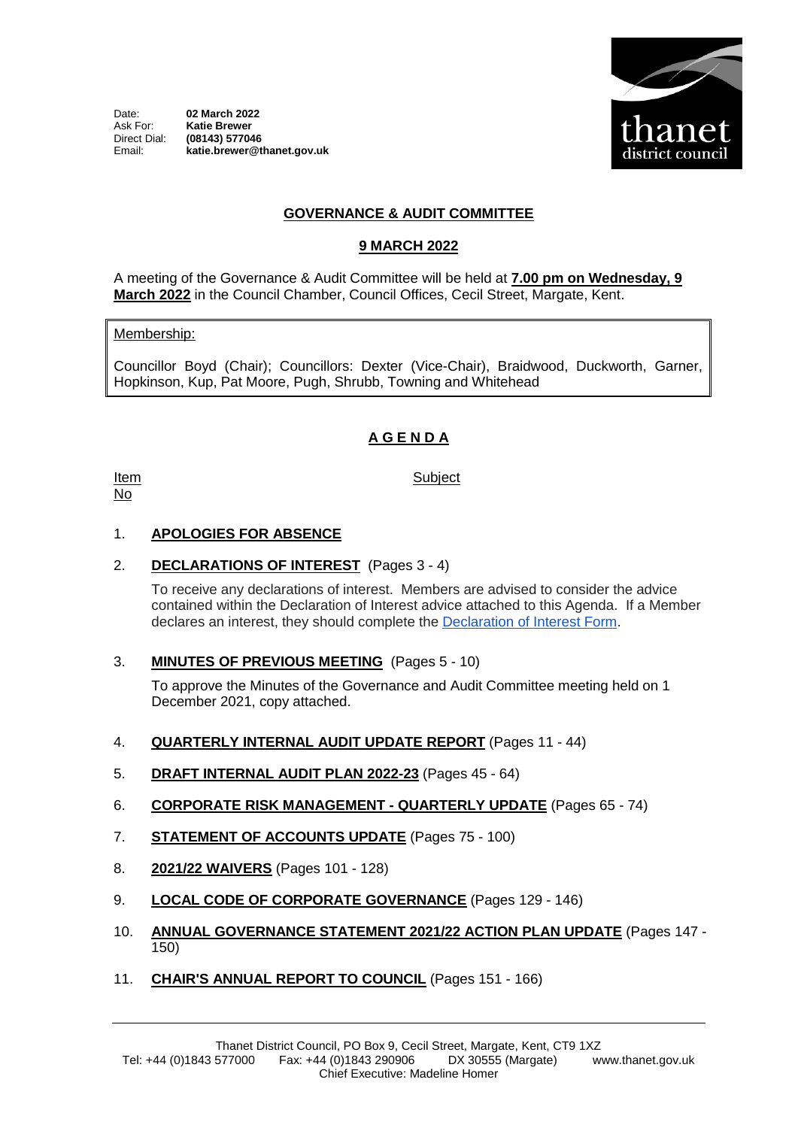Date: **02 March 2022**<br>Ask For: **Katie Brewer** Ask For: **Katie Brewer** Direct Dial: **(08143) 577046** Email: **katie.brewer@thanet.gov.uk**



## **GOVERNANCE & AUDIT COMMITTEE**

## **9 MARCH 2022**

A meeting of the Governance & Audit Committee will be held at **7.00 pm on Wednesday, 9 March 2022** in the Council Chamber, Council Offices, Cecil Street, Margate, Kent.

#### Membership:

Councillor Boyd (Chair); Councillors: Dexter (Vice-Chair), Braidwood, Duckworth, Garner, Hopkinson, Kup, Pat Moore, Pugh, Shrubb, Towning and Whitehead

## **A G E N D A**

Item No

## **Subject**

#### 1. **APOLOGIES FOR ABSENCE**

#### 2. **DECLARATIONS OF INTEREST** (Pages 3 - 4)

To receive any declarations of interest. Members are advised to consider the advice contained within the Declaration of Interest advice attached to this Agenda. If a Member declares an interest, they should complete the [Declaration of Interest Form.](https://docs.google.com/forms/d/e/1FAIpQLSdYy7shF1kh6tvdSh3acxVRm70cKPLFkRBFNyVx2TgejRcm4w/viewform?usp=sf_link)

3. **MINUTES OF PREVIOUS MEETING** (Pages 5 - 10)

To approve the Minutes of the Governance and Audit Committee meeting held on 1 December 2021, copy attached.

- 4. **QUARTERLY INTERNAL AUDIT UPDATE REPORT** (Pages 11 44)
- 5. **DRAFT INTERNAL AUDIT PLAN 2022-23** (Pages 45 64)
- 6. **CORPORATE RISK MANAGEMENT - QUARTERLY UPDATE** (Pages 65 74)
- 7. **STATEMENT OF ACCOUNTS UPDATE** (Pages 75 100)
- 8. **2021/22 WAIVERS** (Pages 101 128)
- 9. **LOCAL CODE OF CORPORATE GOVERNANCE** (Pages 129 146)
- 10. **ANNUAL GOVERNANCE STATEMENT 2021/22 ACTION PLAN UPDATE** (Pages 147 150)
- 11. **CHAIR'S ANNUAL REPORT TO COUNCIL** (Pages 151 166)